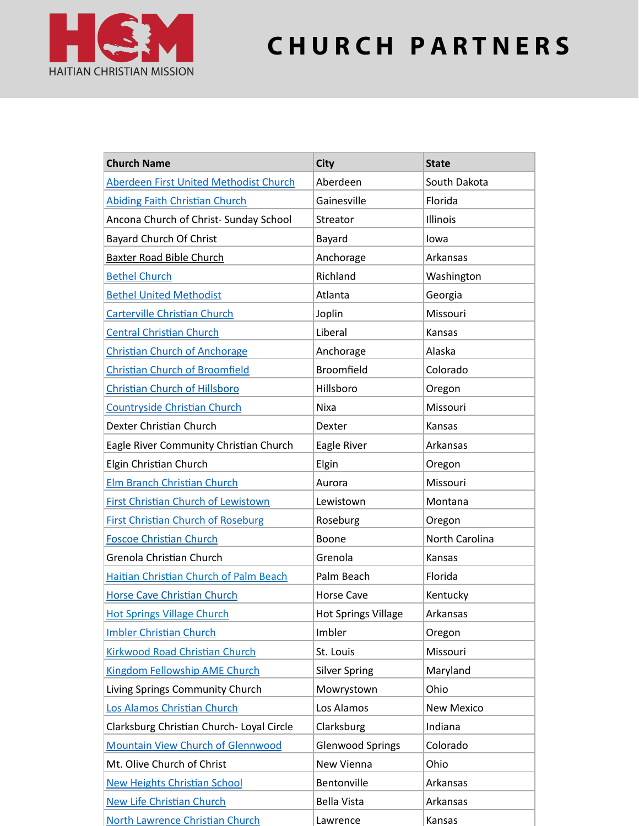

## **C H U R C H P A R T N E R S**

| <b>Church Name</b>                            | <b>City</b>                | <b>State</b>    |
|-----------------------------------------------|----------------------------|-----------------|
| Aberdeen First United Methodist Church        | Aberdeen                   | South Dakota    |
| <b>Abiding Faith Christian Church</b>         | Gainesville                | Florida         |
| Ancona Church of Christ- Sunday School        | Streator                   | <b>Illinois</b> |
| Bayard Church Of Christ                       | Bayard                     | lowa            |
| <b>Baxter Road Bible Church</b>               | Anchorage                  | Arkansas        |
| <b>Bethel Church</b>                          | Richland                   | Washington      |
| <b>Bethel United Methodist</b>                | Atlanta                    | Georgia         |
| <b>Carterville Christian Church</b>           | Joplin                     | Missouri        |
| <b>Central Christian Church</b>               | Liberal                    | Kansas          |
| <b>Christian Church of Anchorage</b>          | Anchorage                  | Alaska          |
| <b>Christian Church of Broomfield</b>         | <b>Broomfield</b>          | Colorado        |
| <b>Christian Church of Hillsboro</b>          | Hillsboro                  | Oregon          |
| <b>Countryside Christian Church</b>           | <b>Nixa</b>                | Missouri        |
| Dexter Christian Church                       | Dexter                     | Kansas          |
| Eagle River Community Christian Church        | Eagle River                | Arkansas        |
| Elgin Christian Church                        | Elgin                      | Oregon          |
| <b>Elm Branch Christian Church</b>            | Aurora                     | Missouri        |
| <b>First Christian Church of Lewistown</b>    | Lewistown                  | Montana         |
| <b>First Christian Church of Roseburg</b>     | Roseburg                   | Oregon          |
| <b>Foscoe Christian Church</b>                | Boone                      | North Carolina  |
| Grenola Christian Church                      | Grenola                    | Kansas          |
| <b>Haitian Christian Church of Palm Beach</b> | Palm Beach                 | Florida         |
| <b>Horse Cave Christian Church</b>            | <b>Horse Cave</b>          | Kentucky        |
| <b>Hot Springs Village Church</b>             | <b>Hot Springs Village</b> | Arkansas        |
| <b>Imbler Christian Church</b>                | Imbler                     | Oregon          |
| <b>Kirkwood Road Christian Church</b>         | St. Louis                  | Missouri        |
| <b>Kingdom Fellowship AME Church</b>          | <b>Silver Spring</b>       | Maryland        |
| Living Springs Community Church               | Mowrystown                 | Ohio            |
| Los Alamos Christian Church                   | Los Alamos                 | New Mexico      |
| Clarksburg Christian Church- Loyal Circle     | Clarksburg                 | Indiana         |
| <b>Mountain View Church of Glennwood</b>      | <b>Glenwood Springs</b>    | Colorado        |
| Mt. Olive Church of Christ                    | New Vienna                 | Ohio            |
| <b>New Heights Christian School</b>           | Bentonville                | Arkansas        |
| <b>New Life Christian Church</b>              | <b>Bella Vista</b>         | Arkansas        |
| North Lawrence Christian Church               | Lawrence                   | Kansas          |